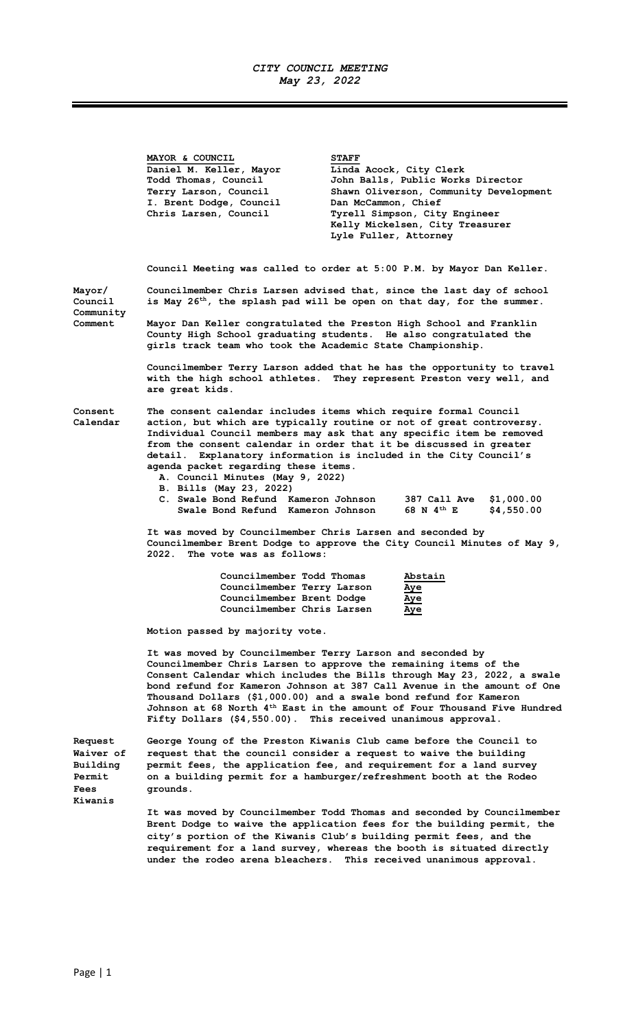## CITY COUNCIL MEETING May 23, 2022

 $\equiv$   $\equiv$ 

|                                                           | MAYOR & COUNCIL<br>Daniel M. Keller, Mayor<br>Todd Thomas, Council<br>Terry Larson, Council<br>I. Brent Dodge, Council<br>Chris Larsen, Council                                                                                                                                                                                                                                                                                                                                                                    | <b>STAFF</b><br>Linda Acock, City Clerk<br>Dan McCammon, Chief<br>Tyrell Simpson, City Engineer<br>Lyle Fuller, Attorney                                    | John Balls, Public Works Director<br>Shawn Oliverson, Community Development<br>Kelly Mickelsen, City Treasurer |  |  |
|-----------------------------------------------------------|--------------------------------------------------------------------------------------------------------------------------------------------------------------------------------------------------------------------------------------------------------------------------------------------------------------------------------------------------------------------------------------------------------------------------------------------------------------------------------------------------------------------|-------------------------------------------------------------------------------------------------------------------------------------------------------------|----------------------------------------------------------------------------------------------------------------|--|--|
|                                                           | Council Meeting was called to order at 5:00 P.M. by Mayor Dan Keller.                                                                                                                                                                                                                                                                                                                                                                                                                                              |                                                                                                                                                             |                                                                                                                |  |  |
| Mayor/<br>Council<br>Community                            |                                                                                                                                                                                                                                                                                                                                                                                                                                                                                                                    | Councilmember Chris Larsen advised that, since the last day of school<br>is May 26 <sup>th</sup> , the splash pad will be open on that day, for the summer. |                                                                                                                |  |  |
| Comment                                                   | Mayor Dan Keller congratulated the Preston High School and Franklin<br>County High School graduating students. He also congratulated the<br>girls track team who took the Academic State Championship.                                                                                                                                                                                                                                                                                                             |                                                                                                                                                             |                                                                                                                |  |  |
|                                                           | Councilmember Terry Larson added that he has the opportunity to travel<br>with the high school athletes. They represent Preston very well, and<br>are great kids.                                                                                                                                                                                                                                                                                                                                                  |                                                                                                                                                             |                                                                                                                |  |  |
| <b>Consent</b><br>Calendar                                | The consent calendar includes items which require formal Council<br>action, but which are typically routine or not of great controversy.<br>Individual Council members may ask that any specific item be removed<br>from the consent calendar in order that it be discussed in greater<br>detail. Explanatory information is included in the City Council's<br>agenda packet regarding these items.<br>A. Council Minutes (May 9, 2022)<br>B. Bills (May 23, 2022)<br>C. Swale Bond Refund Kameron Johnson         |                                                                                                                                                             | \$1,000.00<br>387 Call Ave                                                                                     |  |  |
|                                                           | Swale Bond Refund Kameron Johnson<br>68 N 4 <sup>th</sup> E<br>\$4,550.00<br>It was moved by Councilmember Chris Larsen and seconded by<br>Councilmember Brent Dodge to approve the City Council Minutes of May 9,<br>2022. The vote was as follows:                                                                                                                                                                                                                                                               |                                                                                                                                                             |                                                                                                                |  |  |
|                                                           | Councilmember Todd Thomas<br>Councilmember Terry Larson<br>Councilmember Brent Dodge<br>Councilmember Chris Larsen                                                                                                                                                                                                                                                                                                                                                                                                 | Aye<br>Aye<br>Aye                                                                                                                                           | Abstain                                                                                                        |  |  |
|                                                           | Motion passed by majority vote.                                                                                                                                                                                                                                                                                                                                                                                                                                                                                    |                                                                                                                                                             |                                                                                                                |  |  |
|                                                           | It was moved by Councilmember Terry Larson and seconded by<br>Councilmember Chris Larsen to approve the remaining items of the<br>Consent Calendar which includes the Bills through May 23, 2022, a swale<br>bond refund for Kameron Johnson at 387 Call Avenue in the amount of One<br>Thousand Dollars (\$1,000.00) and a swale bond refund for Kameron<br>Johnson at 68 North 4 <sup>th</sup> East in the amount of Four Thousand Five Hundred<br>Fifty Dollars (\$4,550.00). This received unanimous approval. |                                                                                                                                                             |                                                                                                                |  |  |
| Request<br>Waiver of<br>Building<br><b>Permit</b><br>Fees | George Young of the Preston Kiwanis Club came before the Council to<br>request that the council consider a request to waive the building<br>permit fees, the application fee, and requirement for a land survey<br>on a building permit for a hamburger/refreshment booth at the Rodeo<br>grounds.                                                                                                                                                                                                                 |                                                                                                                                                             |                                                                                                                |  |  |
| Kiwanis                                                   | It was moved by Councilmember Todd Thomas and seconded by Councilmember<br>Brent Dodge to waive the application fees for the building permit, the<br>city's portion of the Kiwanis Club's building permit fees, and the                                                                                                                                                                                                                                                                                            |                                                                                                                                                             |                                                                                                                |  |  |

requirement for a land survey, whereas the booth is situated directly under the rodeo arena bleachers. This received unanimous approval.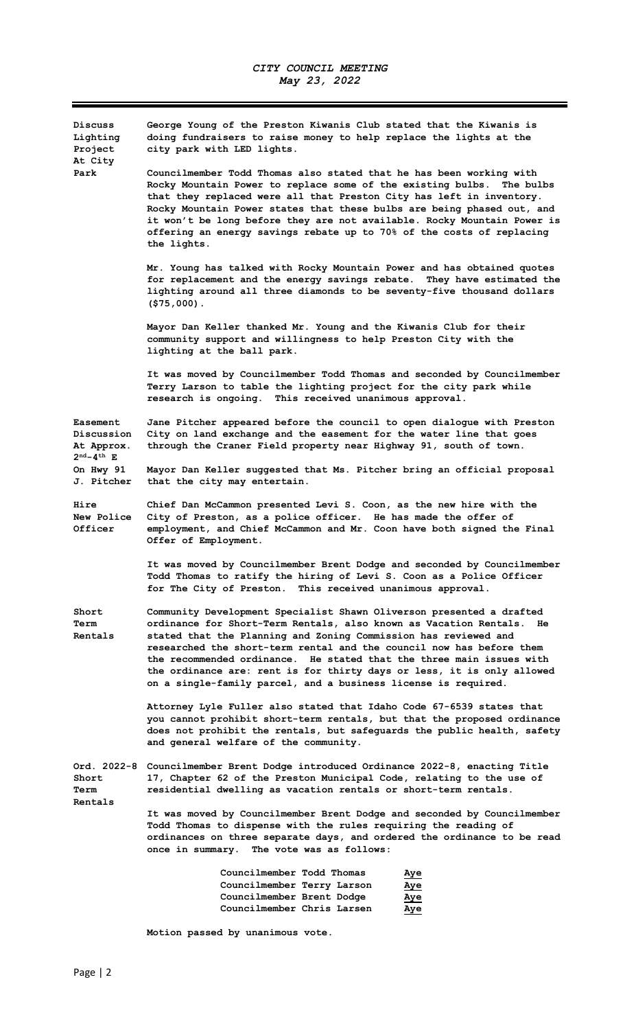$\equiv$ 

| Discuss<br>Lighting<br>Project<br>At City                                 | George Young of the Preston Kiwanis Club stated that the Kiwanis is<br>doing fundraisers to raise money to help replace the lights at the<br>city park with LED lights.                                                                                                                                                                                                                                                                                                                                        |  |  |  |
|---------------------------------------------------------------------------|----------------------------------------------------------------------------------------------------------------------------------------------------------------------------------------------------------------------------------------------------------------------------------------------------------------------------------------------------------------------------------------------------------------------------------------------------------------------------------------------------------------|--|--|--|
| Park                                                                      | Councilmember Todd Thomas also stated that he has been working with<br>Rocky Mountain Power to replace some of the existing bulbs. The bulbs<br>that they replaced were all that Preston City has left in inventory.<br>Rocky Mountain Power states that these bulbs are being phased out, and<br>it won't be long before they are not available. Rocky Mountain Power is<br>offering an energy savings rebate up to 70% of the costs of replacing<br>the lights.                                              |  |  |  |
|                                                                           | Mr. Young has talked with Rocky Mountain Power and has obtained quotes<br>for replacement and the energy savings rebate. They have estimated the<br>lighting around all three diamonds to be seventy-five thousand dollars<br>$( $75,000)$ .                                                                                                                                                                                                                                                                   |  |  |  |
|                                                                           | Mayor Dan Keller thanked Mr. Young and the Kiwanis Club for their<br>community support and willingness to help Preston City with the<br>lighting at the ball park.                                                                                                                                                                                                                                                                                                                                             |  |  |  |
|                                                                           | It was moved by Councilmember Todd Thomas and seconded by Councilmember<br>Terry Larson to table the lighting project for the city park while<br>research is ongoing. This received unanimous approval.                                                                                                                                                                                                                                                                                                        |  |  |  |
| Easement<br>Discussion<br>At Approx.<br>$2^{\text{nd}} - 4^{\text{th}}$ E | Jane Pitcher appeared before the council to open dialogue with Preston<br>City on land exchange and the easement for the water line that goes<br>through the Craner Field property near Highway 91, south of town.                                                                                                                                                                                                                                                                                             |  |  |  |
| On Hwy 91<br>J. Pitcher                                                   | Mayor Dan Keller suggested that Ms. Pitcher bring an official proposal<br>that the city may entertain.                                                                                                                                                                                                                                                                                                                                                                                                         |  |  |  |
| Hire<br><b>New Police</b><br>Officer                                      | Chief Dan McCammon presented Levi S. Coon, as the new hire with the<br>City of Preston, as a police officer. He has made the offer of<br>employment, and Chief McCammon and Mr. Coon have both signed the Final<br>Offer of Employment.                                                                                                                                                                                                                                                                        |  |  |  |
|                                                                           | It was moved by Councilmember Brent Dodge and seconded by Councilmember<br>Todd Thomas to ratify the hiring of Levi S. Coon as a Police Officer<br>for The City of Preston.<br>This received unanimous approval.                                                                                                                                                                                                                                                                                               |  |  |  |
| Short<br>Term<br><b>Rentals</b>                                           | Community Development Specialist Shawn Oliverson presented a drafted<br>ordinance for Short-Term Rentals, also known as Vacation Rentals.<br>He<br>stated that the Planning and Zoning Commission has reviewed and<br>researched the short-term rental and the council now has before them<br>the recommended ordinance. He stated that the three main issues with<br>the ordinance are: rent is for thirty days or less, it is only allowed<br>on a single-family parcel, and a business license is required. |  |  |  |
|                                                                           | Attorney Lyle Fuller also stated that Idaho Code 67-6539 states that<br>you cannot prohibit short-term rentals, but that the proposed ordinance<br>does not prohibit the rentals, but safeguards the public health, safety<br>and general welfare of the community.                                                                                                                                                                                                                                            |  |  |  |
| Short<br>Term<br><b>Rentals</b>                                           | Ord. 2022-8 Councilmember Brent Dodge introduced Ordinance 2022-8, enacting Title<br>17, Chapter 62 of the Preston Municipal Code, relating to the use of<br>residential dwelling as vacation rentals or short-term rentals.                                                                                                                                                                                                                                                                                   |  |  |  |
|                                                                           | It was moved by Councilmember Brent Dodge and seconded by Councilmember<br>Todd Thomas to dispense with the rules requiring the reading of<br>ordinances on three separate days, and ordered the ordinance to be read<br>once in summary. The vote was as follows:                                                                                                                                                                                                                                             |  |  |  |
|                                                                           | Councilmember Todd Thomas<br>Aye<br>Councilmember Terry Larson<br>Aye<br>Councilmember Brent Dodge<br>Aye<br>Councilmember Chris Larsen<br>Aye                                                                                                                                                                                                                                                                                                                                                                 |  |  |  |

Motion passed by unanimous vote.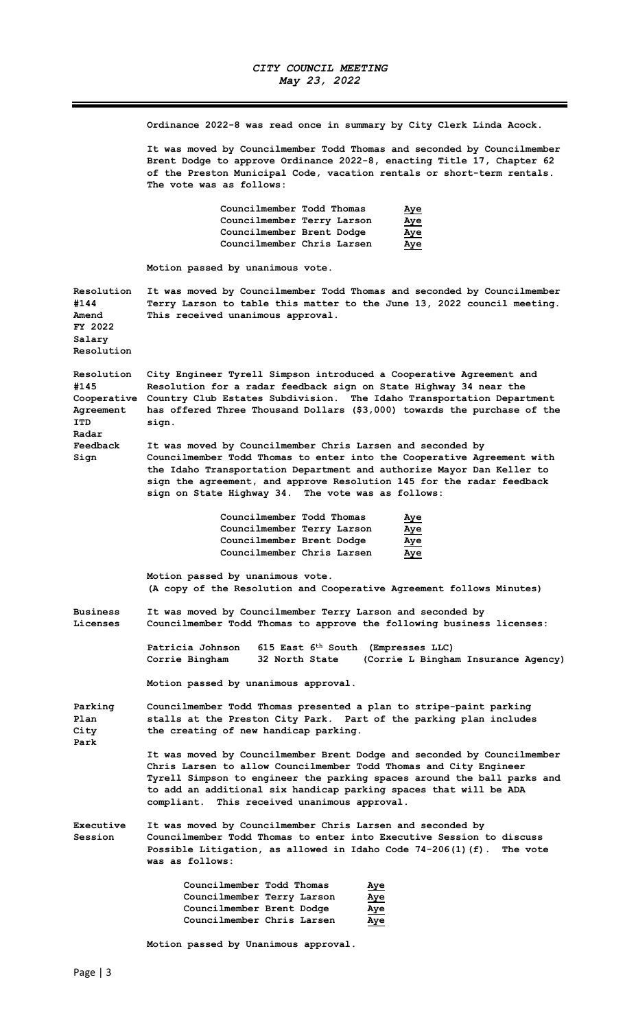Ordinance 2022-8 was read once in summary by City Clerk Linda Acock.

It was moved by Councilmember Todd Thomas and seconded by Councilmember Brent Dodge to approve Ordinance 2022-8, enacting Title 17, Chapter 62 of the Preston Municipal Code, vacation rentals or short-term rentals. The vote was as follows:

| Councilmember Todd Thomas  | <u>Aye</u> |
|----------------------------|------------|
| Councilmember Terry Larson | Aye        |
| Councilmember Brent Dodge  | Aye        |
| Councilmember Chris Larsen | Aye        |

Motion passed by unanimous vote.

Resolution It was moved by Councilmember Todd Thomas and seconded by Councilmember #144 Terry Larson to table this matter to the June 13, 2022 council meeting. Amend This received unanimous approval. FY 2022 Salary Resolution

Resolution City Engineer Tyrell Simpson introduced a Cooperative Agreement and #145 Resolution for a radar feedback sign on State Highway 34 near the Cooperative Country Club Estates Subdivision. The Idaho Transportation Department Agreement has offered Three Thousand Dollars (\$3,000) towards the purchase of the ITD sign. Radar

Feedback It was moved by Councilmember Chris Larsen and seconded by Sign Councilmember Todd Thomas to enter into the Cooperative Agreement with the Idaho Transportation Department and authorize Mayor Dan Keller to sign the agreement, and approve Resolution 145 for the radar feedback sign on State Highway 34. The vote was as follows:

| Councilmember Todd Thomas  | <u>Aye</u> |
|----------------------------|------------|
| Councilmember Terry Larson | <u>Aye</u> |
| Councilmember Brent Dodge  | <u>Aye</u> |
| Councilmember Chris Larsen | Aye        |

 Motion passed by unanimous vote. (A copy of the Resolution and Cooperative Agreement follows Minutes)

Business It was moved by Councilmember Terry Larson and seconded by Licenses Councilmember Todd Thomas to approve the following business licenses:

> Patricia Johnson 615 East 6<sup>th</sup> South (Empresses LLC) Corrie Bingham 32 North State (Corrie L Bingham Insurance Agency)

Motion passed by unanimous approval.

Parking Councilmember Todd Thomas presented a plan to stripe-paint parking Plan stalls at the Preston City Park. Part of the parking plan includes City the creating of new handicap parking. Park

> It was moved by Councilmember Brent Dodge and seconded by Councilmember Chris Larsen to allow Councilmember Todd Thomas and City Engineer Tyrell Simpson to engineer the parking spaces around the ball parks and to add an additional six handicap parking spaces that will be ADA compliant. This received unanimous approval.

Executive It was moved by Councilmember Chris Larsen and seconded by Session Councilmember Todd Thomas to enter into Executive Session to discuss Possible Litigation, as allowed in Idaho Code 74-206(1)(f). The vote was as follows:

| Councilmember Todd Thomas  | Aye        |
|----------------------------|------------|
| Councilmember Terry Larson | <u>Aye</u> |
| Councilmember Brent Dodge  | <u>Aye</u> |
| Councilmember Chris Larsen | <u>Aye</u> |

Motion passed by Unanimous approval.